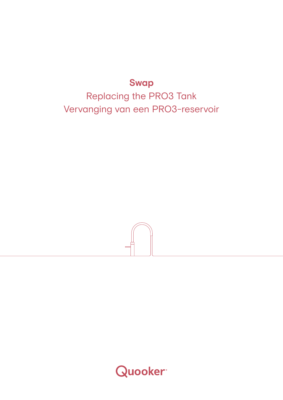# **Swap**

Replacing the PRO3 Tank Vervanging van een PRO3-reservoir



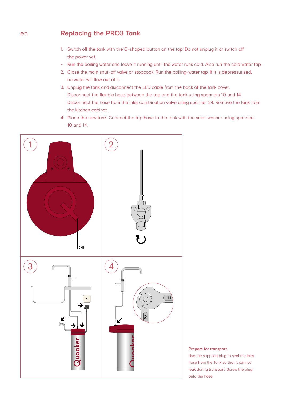#### **Replacing the PRO3 Tank** en

- 1. Switch off the tank with the Q-shaped button on the top. Do not unplug it or switch off the power yet.
- Run the boiling water and leave it running until the water runs cold. Also run the cold water tap.
- 2. Close the main shut-off valve or stopcock. Run the boiling-water tap. If it is depressurised, no water will flow out of it.
- 3. Unplug the tank and disconnect the LED cable from the back of the tank cover. Disconnect the flexible hose between the tap and the tank using spanners 10 and 14. Disconnect the hose from the inlet combination valve using spanner 24. Remove the tank from the kitchen cabinet.
- 4. Place the new tank. Connect the tap hose to the tank with the small washer using spanners 10 and 14.



# **Prepare for transport**

Use the supplied plug to seal the inlet hose from the Tank so that it cannot leak during transport. Screw the plug onto the hose.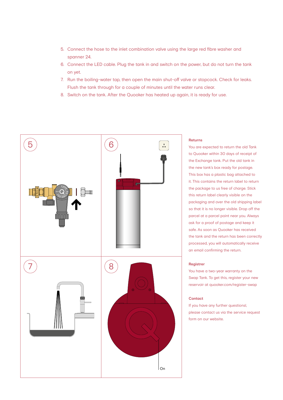- 5. Connect the hose to the inlet combination valve using the large red fibre washer and spanner 24.
- 6. Connect the LED cable. Plug the tank in and switch on the power, but do not turn the tank on yet.
- 7. Run the boiling-water tap, then open the main shut-off valve or stopcock. Check for leaks. Flush the tank through for a couple of minutes until the water runs clear.
- 8. Switch on the tank. After the Quooker has heated up again, it is ready for use.



# **Returns**

You are expected to return the old Tank to Quooker within 30 days of receipt of the Exchange tank. Put the old tank in the new tank's box ready for postage. This box has a plastic bag attached to it. This contains the return label to return the package to us free of charge. Stick this return label clearly visible on the packaging and over the old shipping label so that it is no longer visible. Drop off the parcel at a parcel point near you. Always ask for a proof of postage and keep it safe. As soon as Quooker has received the tank and the return has been correctly processed, you will automatically receive an email confirming the return.

# **Registrer**

You have a two-year warranty on the Swap Tank. To get this, register your new reservoir at quooker.com/register-swap

# **Contact**

If you have any further questionsl, please contact us via the service request form on our website.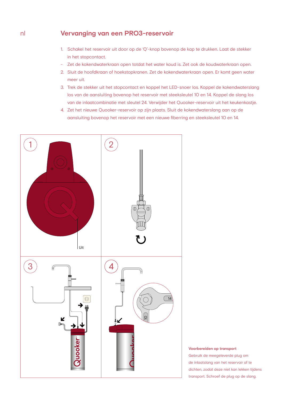#### **Vervanging van een PRO3-reservoir** nl

- 1. Schakel het reservoir uit door op de 'Q'-knop bovenop de kap te drukken. Laat de stekker in het stopcontact.
- Zet de kokendwaterkraan open totdat het water koud is. Zet ook de koudwaterkraan open.
- 2. Sluit de hoofdkraan of hoekstopkranen. Zet de kokendwaterkraan open. Er komt geen water meer uit.
- 3. Trek de stekker uit het stopcontact en koppel het LED-snoer los. Koppel de kokendwaterslang los van de aansluiting bovenop het reservoir met steeksleutel 10 en 14. Koppel de slang los van de inlaatcombinatie met sleutel 24. Verwijder het Quooker-reservoir uit het keukenkastje.
- 4. Zet het nieuwe Quooker-reservoir op zijn plaats. Sluit de kokendwaterslang aan op de aansluiting bovenop het reservoir met een nieuwe fiberring en steeksleutel 10 en 14.



# **Voorbereiden op transport**

Gebruik de meegeleverde plug om de inlaatslang van het reservoir af te dichten, zodat deze niet kan lekken tijdens transport. Schroef de plug op de slang.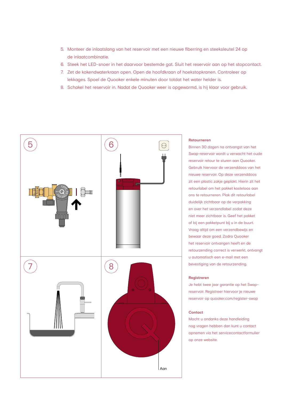- 5. Monteer de inlaatslang van het reservoir met een nieuwe fiberring en steeksleutel 24 op de inlaatcombinatie.
- 6. Steek het LED-snoer in het daarvoor bestemde gat. Sluit het reservoir aan op het stopcontact.
- 7. Zet de kokendwaterkraan open. Open de hoofdkraan of hoekstopkranen. Controleer op lekkages. Spoel de Quooker enkele minuten door totdat het water helder is.
- 8. Schakel het reservoir in. Nadat de Quooker weer is opgewarmd, is hij klaar voor gebruik.



### **Retourneren**

Binnen 30 dagen na ontvangst van het Swap-reservoir wordt u verwacht het oude reservoir retour te sturen aan Quooker. Gebruik hiervoor de verzenddoos van het nieuwe reservoir. Op deze verzenddoos zit een plastic zakje geplakt. Hierin zit het retourlabel om het pakket kosteloos aan ons te retourneren. Plak dit retourlabel duidelijk zichtbaar op de verpakking en over het verzendlabel zodat deze niet meer zichtbaar is. Geef het pakket af bij een pakketpunt bij u in de buurt. Vraag altijd om een verzendbewijs en bewaar deze goed. Zodra Quooker het reservoir ontvangen heeft en de retourzending correct is verwerkt, ontvangt u automatisch een e-mail met een bevestiging van de retourzending.

# **Registreren**

Je hebt twee jaar garantie op het Swapreservoir. Registreer hiervoor je nieuwe reservoir op quooker.com/register-swap

# **Contact**

Mocht u ondanks deze handleiding nog vragen hebben dan kunt u contact opnemen via het servicecontactformulier op onze website.